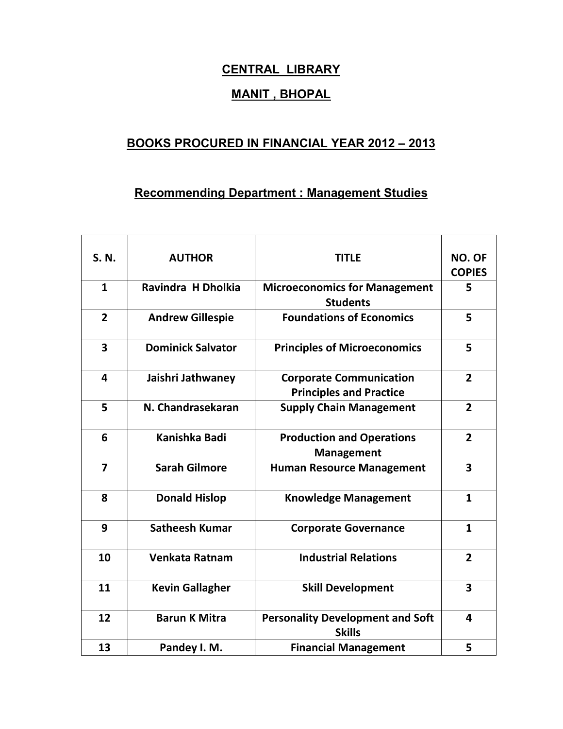## **CENTRAL LIBRARY**

## **MANIT , BHOPAL**

## **BOOKS PROCURED IN FINANCIAL YEAR 2012 – 2013**

## **Recommending Department : Management Studies**

 $\overline{\phantom{a}}$ 

 $\overline{\phantom{a}}$ 

 $\overline{1}$ 

| S. N.                   | <b>AUTHOR</b>            | <b>TITLE</b>                                                     | NO. OF<br><b>COPIES</b> |
|-------------------------|--------------------------|------------------------------------------------------------------|-------------------------|
| $\mathbf{1}$            | Ravindra H Dholkia       | <b>Microeconomics for Management</b><br><b>Students</b>          | 5                       |
| $\overline{2}$          | <b>Andrew Gillespie</b>  | <b>Foundations of Economics</b>                                  | 5                       |
| $\overline{\mathbf{3}}$ | <b>Dominick Salvator</b> | <b>Principles of Microeconomics</b>                              | 5                       |
| $\overline{\mathbf{4}}$ | Jaishri Jathwaney        | <b>Corporate Communication</b><br><b>Principles and Practice</b> | $\overline{2}$          |
| 5                       | N. Chandrasekaran        | <b>Supply Chain Management</b>                                   | $\overline{2}$          |
| 6                       | Kanishka Badi            | <b>Production and Operations</b><br><b>Management</b>            | $\overline{2}$          |
| $\overline{7}$          | <b>Sarah Gilmore</b>     | <b>Human Resource Management</b>                                 | 3                       |
| 8                       | <b>Donald Hislop</b>     | <b>Knowledge Management</b>                                      | $\mathbf{1}$            |
| 9                       | <b>Satheesh Kumar</b>    | <b>Corporate Governance</b>                                      | $\mathbf{1}$            |
| 10                      | Venkata Ratnam           | <b>Industrial Relations</b>                                      | $\overline{2}$          |
| 11                      | <b>Kevin Gallagher</b>   | <b>Skill Development</b>                                         | $\overline{\mathbf{3}}$ |
| 12                      | <b>Barun K Mitra</b>     | <b>Personality Development and Soft</b><br><b>Skills</b>         | 4                       |
| 13                      | Pandey I. M.             | <b>Financial Management</b>                                      | 5                       |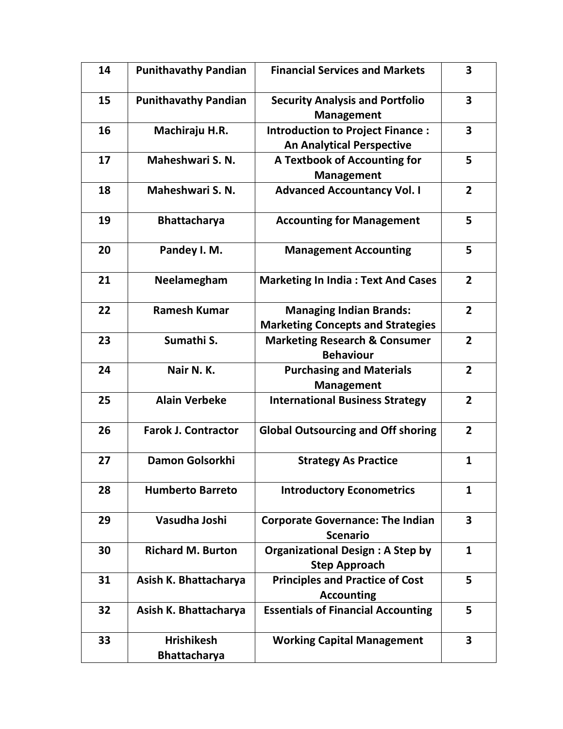| 14 | <b>Punithavathy Pandian</b>              | <b>Financial Services and Markets</b>                                       | $\overline{\mathbf{3}}$ |
|----|------------------------------------------|-----------------------------------------------------------------------------|-------------------------|
| 15 | <b>Punithavathy Pandian</b>              | <b>Security Analysis and Portfolio</b><br><b>Management</b>                 | $\overline{\mathbf{3}}$ |
| 16 | Machiraju H.R.                           | <b>Introduction to Project Finance:</b><br><b>An Analytical Perspective</b> | $\overline{\mathbf{3}}$ |
| 17 | Maheshwari S. N.                         | A Textbook of Accounting for<br><b>Management</b>                           | 5                       |
| 18 | Maheshwari S. N.                         | <b>Advanced Accountancy Vol. I</b>                                          | $\overline{2}$          |
| 19 | <b>Bhattacharya</b>                      | <b>Accounting for Management</b>                                            | 5                       |
| 20 | Pandey I. M.                             | <b>Management Accounting</b>                                                | 5                       |
| 21 | Neelamegham                              | <b>Marketing In India: Text And Cases</b>                                   | $\overline{2}$          |
| 22 | <b>Ramesh Kumar</b>                      | <b>Managing Indian Brands:</b><br><b>Marketing Concepts and Strategies</b>  | $\overline{2}$          |
| 23 | Sumathi S.                               | <b>Marketing Research &amp; Consumer</b><br><b>Behaviour</b>                | $\overline{2}$          |
| 24 | Nair N.K.                                | <b>Purchasing and Materials</b><br><b>Management</b>                        | $\overline{2}$          |
| 25 | <b>Alain Verbeke</b>                     | <b>International Business Strategy</b>                                      | $\overline{2}$          |
| 26 | <b>Farok J. Contractor</b>               | <b>Global Outsourcing and Off shoring</b>                                   | $\overline{2}$          |
| 27 | Damon Golsorkhi                          | <b>Strategy As Practice</b>                                                 | 1                       |
| 28 | <b>Humberto Barreto</b>                  | <b>Introductory Econometrics</b>                                            | $\mathbf{1}$            |
| 29 | Vasudha Joshi                            | <b>Corporate Governance: The Indian</b><br><b>Scenario</b>                  | $\overline{\mathbf{3}}$ |
| 30 | <b>Richard M. Burton</b>                 | <b>Organizational Design: A Step by</b><br><b>Step Approach</b>             | $\mathbf{1}$            |
| 31 | Asish K. Bhattacharya                    | <b>Principles and Practice of Cost</b><br><b>Accounting</b>                 | 5                       |
| 32 | Asish K. Bhattacharya                    | <b>Essentials of Financial Accounting</b>                                   | 5                       |
| 33 | <b>Hrishikesh</b><br><b>Bhattacharya</b> | <b>Working Capital Management</b>                                           | 3                       |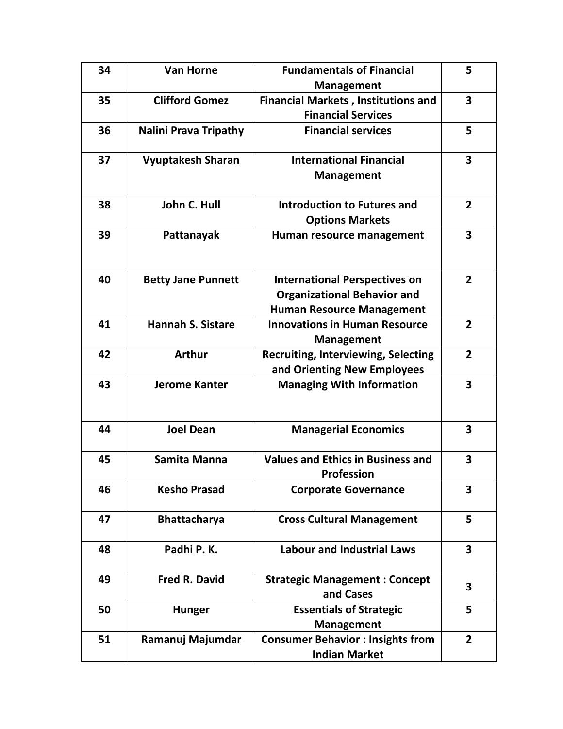| 34 | <b>Van Horne</b>             | <b>Fundamentals of Financial</b>           | 5                       |
|----|------------------------------|--------------------------------------------|-------------------------|
|    |                              | <b>Management</b>                          |                         |
| 35 | <b>Clifford Gomez</b>        | <b>Financial Markets, Institutions and</b> | $\overline{\mathbf{3}}$ |
|    |                              | <b>Financial Services</b>                  |                         |
| 36 | <b>Nalini Prava Tripathy</b> | <b>Financial services</b>                  | 5                       |
|    |                              |                                            |                         |
| 37 | <b>Vyuptakesh Sharan</b>     | <b>International Financial</b>             | $\overline{\mathbf{3}}$ |
|    |                              | <b>Management</b>                          |                         |
|    |                              |                                            |                         |
| 38 | John C. Hull                 | <b>Introduction to Futures and</b>         | $\overline{2}$          |
|    |                              | <b>Options Markets</b>                     |                         |
| 39 | Pattanayak                   | Human resource management                  | $\overline{\mathbf{3}}$ |
|    |                              |                                            |                         |
|    |                              |                                            |                         |
| 40 | <b>Betty Jane Punnett</b>    | <b>International Perspectives on</b>       | $\overline{2}$          |
|    |                              | <b>Organizational Behavior and</b>         |                         |
|    |                              | <b>Human Resource Management</b>           |                         |
| 41 | <b>Hannah S. Sistare</b>     | <b>Innovations in Human Resource</b>       | $\overline{2}$          |
|    |                              | <b>Management</b>                          |                         |
| 42 | <b>Arthur</b>                | <b>Recruiting, Interviewing, Selecting</b> | $\overline{2}$          |
|    |                              | and Orienting New Employees                |                         |
| 43 | <b>Jerome Kanter</b>         | <b>Managing With Information</b>           | 3                       |
|    |                              |                                            |                         |
|    |                              |                                            |                         |
| 44 | <b>Joel Dean</b>             | <b>Managerial Economics</b>                | 3                       |
|    |                              |                                            |                         |
| 45 | Samita Manna                 | <b>Values and Ethics in Business and</b>   | 3                       |
|    |                              | <b>Profession</b>                          |                         |
| 46 | <b>Kesho Prasad</b>          | <b>Corporate Governance</b>                | 3                       |
|    |                              |                                            |                         |
| 47 | <b>Bhattacharya</b>          | <b>Cross Cultural Management</b>           | 5                       |
|    |                              |                                            |                         |
| 48 | Padhi P.K.                   | <b>Labour and Industrial Laws</b>          | $\overline{\mathbf{3}}$ |
|    |                              |                                            |                         |
| 49 | <b>Fred R. David</b>         | <b>Strategic Management: Concept</b>       |                         |
|    |                              | and Cases                                  | 3                       |
| 50 | <b>Hunger</b>                | <b>Essentials of Strategic</b>             | 5                       |
|    |                              | <b>Management</b>                          |                         |
| 51 | Ramanuj Majumdar             | <b>Consumer Behavior : Insights from</b>   | $\overline{2}$          |
|    |                              | <b>Indian Market</b>                       |                         |